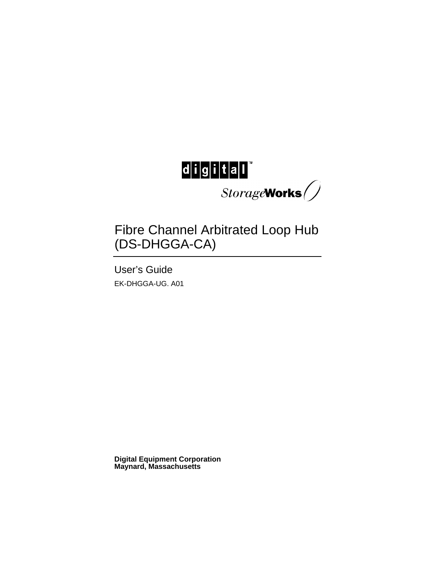

Fibre Channel Arbitrated Loop Hub (DS-DHGGA-CA)

User's Guide EK-DHGGA-UG. A01

**Digital Equipment Corporation Maynard, Massachusetts**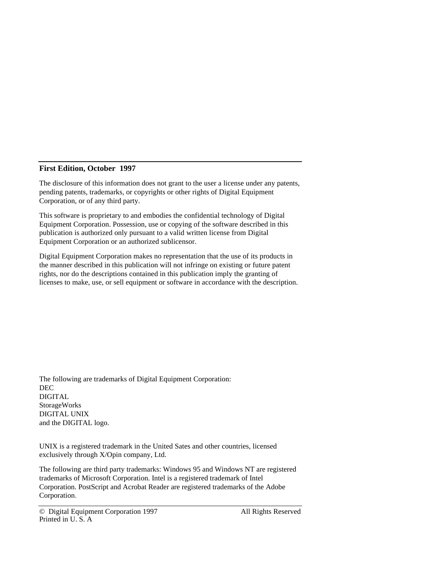#### **First Edition, October 1997**

The disclosure of this information does not grant to the user a license under any patents, pending patents, trademarks, or copyrights or other rights of Digital Equipment Corporation, or of any third party.

This software is proprietary to and embodies the confidential technology of Digital Equipment Corporation. Possession, use or copying of the software described in this publication is authorized only pursuant to a valid written license from Digital Equipment Corporation or an authorized sublicensor.

Digital Equipment Corporation makes no representation that the use of its products in the manner described in this publication will not infringe on existing or future patent rights, nor do the descriptions contained in this publication imply the granting of licenses to make, use, or sell equipment or software in accordance with the description.

The following are trademarks of Digital Equipment Corporation: DEC DIGITAL StorageWorks DIGITAL UNIX and the DIGITAL logo.

UNIX is a registered trademark in the United Sates and other countries, licensed exclusively through X/Opin company, Ltd.

The following are third party trademarks: Windows 95 and Windows NT are registered trademarks of Microsoft Corporation. Intel is a registered trademark of Intel Corporation. PostScript and Acrobat Reader are registered trademarks of the Adobe Corporation.

<sup>©</sup> Digital Equipment Corporation 1997 All Rights Reserved Printed in U.S. A.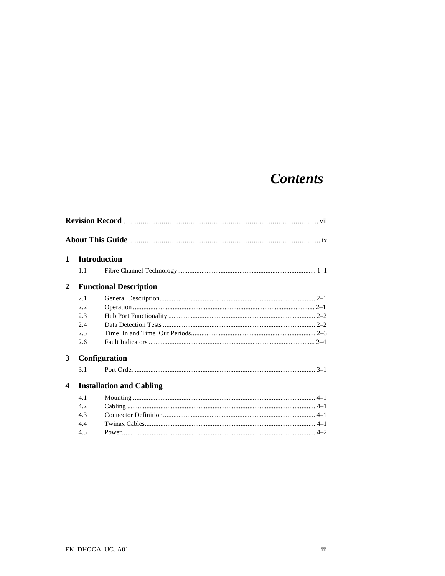# **Contents**

| 1                                                          | <b>Introduction</b> |               |  |
|------------------------------------------------------------|---------------------|---------------|--|
|                                                            | 1.1                 |               |  |
| <b>Functional Description</b><br>2                         |                     |               |  |
|                                                            | 2.1                 |               |  |
|                                                            | 2.2                 |               |  |
|                                                            | 2.3                 |               |  |
|                                                            | 2.4                 |               |  |
|                                                            | 2.5                 |               |  |
|                                                            | 2.6                 |               |  |
| $\mathbf{3}$                                               |                     | Configuration |  |
|                                                            | 3.1                 |               |  |
| <b>Installation and Cabling</b><br>$\overline{\mathbf{4}}$ |                     |               |  |
|                                                            | 4.1                 |               |  |
|                                                            | 4.2.                |               |  |
|                                                            | 4.3                 |               |  |
|                                                            | 4.4                 |               |  |
|                                                            | 4.5                 |               |  |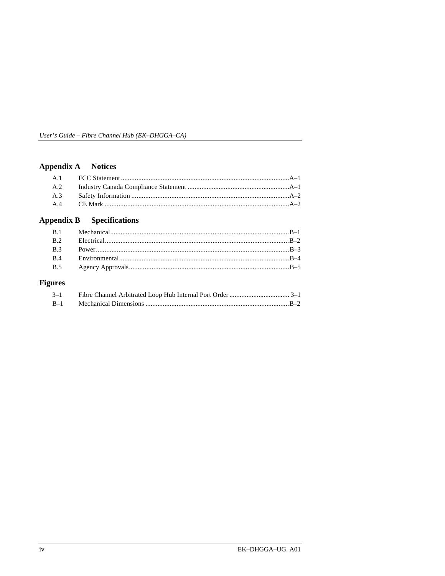## Appendix A Notices

#### **Appendix B Specifications**

## **Figures**

| $3 - 1$ |  |
|---------|--|
| $B-1$   |  |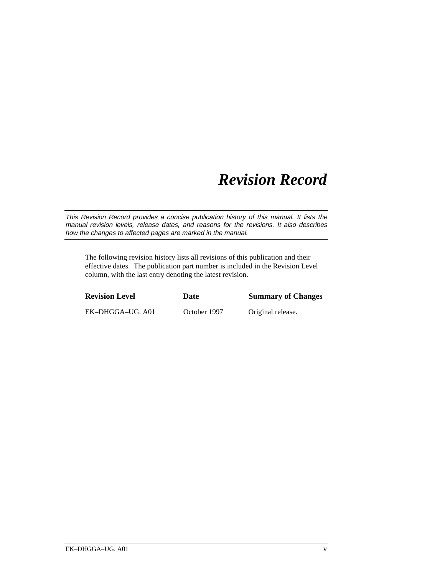# *Revision Record*

This Revision Record provides a concise publication history of this manual. It lists the manual revision levels, release dates, and reasons for the revisions. It also describes how the changes to affected pages are marked in the manual.

The following revision history lists all revisions of this publication and their effective dates. The publication part number is included in the Revision Level column, with the last entry denoting the latest revision.

| <b>Revision Level</b> | Date         | <b>Summary of Changes</b> |
|-----------------------|--------------|---------------------------|
| EK-DHGGA-UG. A01      | October 1997 | Original release.         |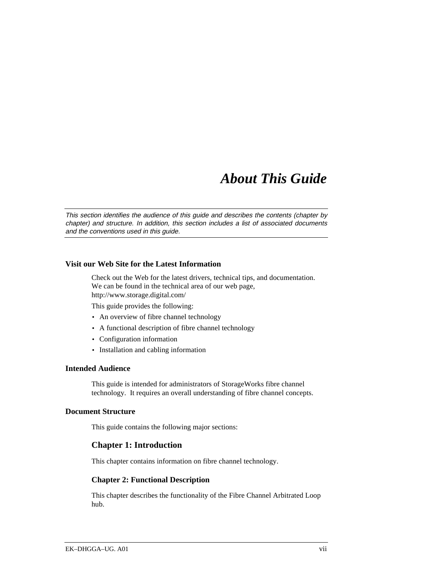# *About This Guide*

This section identifies the audience of this guide and describes the contents (chapter by chapter) and structure. In addition, this section includes a list of associated documents and the conventions used in this guide.

#### **Visit our Web Site for the Latest Information**

Check out the Web for the latest drivers, technical tips, and documentation. We can be found in the technical area of our web page, http://www.storage.digital.com/

This guide provides the following:

- An overview of fibre channel technology
- A functional description of fibre channel technology
- Configuration information
- Installation and cabling information

#### **Intended Audience**

This guide is intended for administrators of StorageWorks fibre channel technology. It requires an overall understanding of fibre channel concepts.

#### **Document Structure**

This guide contains the following major sections:

#### **Chapter 1: Introduction**

This chapter contains information on fibre channel technology.

#### **Chapter 2: Functional Description**

This chapter describes the functionality of the Fibre Channel Arbitrated Loop hub.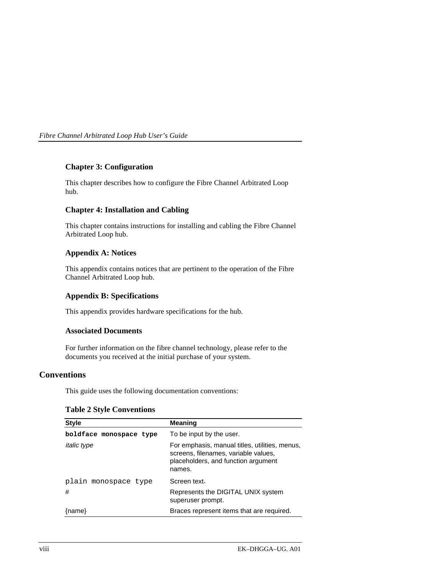*Fibre Channel Arbitrated Loop Hub User's Guide*

#### **Chapter 3: Configuration**

This chapter describes how to configure the Fibre Channel Arbitrated Loop hub.

### **Chapter 4: Installation and Cabling**

This chapter contains instructions for installing and cabling the Fibre Channel Arbitrated Loop hub.

#### **Appendix A: Notices**

This appendix contains notices that are pertinent to the operation of the Fibre Channel Arbitrated Loop hub.

### **Appendix B: Specifications**

This appendix provides hardware specifications for the hub.

#### **Associated Documents**

For further information on the fibre channel technology, please refer to the documents you received at the initial purchase of your system.

## **Conventions**

This guide uses the following documentation conventions:

## **Table 2 Style Conventions**

| <b>Style</b>            | <b>Meaning</b>                                                                                                                          |
|-------------------------|-----------------------------------------------------------------------------------------------------------------------------------------|
| boldface monospace type | To be input by the user.                                                                                                                |
| <i>italic</i> type      | For emphasis, manual titles, utilities, menus,<br>screens, filenames, variable values,<br>placeholders, and function argument<br>names. |
| plain monospace type    | Screen text.                                                                                                                            |
| #                       | Represents the DIGITAL UNIX system<br>superuser prompt.                                                                                 |
| ${name}$                | Braces represent items that are required.                                                                                               |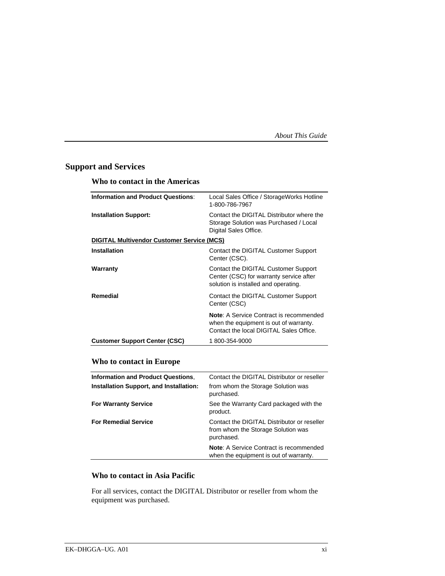## **Support and Services**

## **Who to contact in the Americas**

| Local Sales Office / StorageWorks Hotline<br>1-800-786-7967<br>Contact the DIGITAL Distributor where the<br><b>Installation Support:</b><br>Storage Solution was Purchased / Local<br>Digital Sales Office.<br><b>DIGITAL Multivendor Customer Service (MCS)</b><br>Contact the DIGITAL Customer Support<br>Center (CSC).<br>Contact the DIGITAL Customer Support<br>Warranty<br>Center (CSC) for warranty service after<br>solution is installed and operating.<br>Contact the DIGITAL Customer Support<br>Center (CSC)<br><b>Note:</b> A Service Contract is recommended<br>when the equipment is out of warranty.<br>Contact the local DIGITAL Sales Office.<br>1800-354-9000<br><b>Customer Support Center (CSC)</b> |                                           |  |  |
|--------------------------------------------------------------------------------------------------------------------------------------------------------------------------------------------------------------------------------------------------------------------------------------------------------------------------------------------------------------------------------------------------------------------------------------------------------------------------------------------------------------------------------------------------------------------------------------------------------------------------------------------------------------------------------------------------------------------------|-------------------------------------------|--|--|
|                                                                                                                                                                                                                                                                                                                                                                                                                                                                                                                                                                                                                                                                                                                          | <b>Information and Product Questions:</b> |  |  |
|                                                                                                                                                                                                                                                                                                                                                                                                                                                                                                                                                                                                                                                                                                                          |                                           |  |  |
|                                                                                                                                                                                                                                                                                                                                                                                                                                                                                                                                                                                                                                                                                                                          |                                           |  |  |
|                                                                                                                                                                                                                                                                                                                                                                                                                                                                                                                                                                                                                                                                                                                          | <b>Installation</b>                       |  |  |
|                                                                                                                                                                                                                                                                                                                                                                                                                                                                                                                                                                                                                                                                                                                          |                                           |  |  |
|                                                                                                                                                                                                                                                                                                                                                                                                                                                                                                                                                                                                                                                                                                                          | Remedial                                  |  |  |
|                                                                                                                                                                                                                                                                                                                                                                                                                                                                                                                                                                                                                                                                                                                          |                                           |  |  |
|                                                                                                                                                                                                                                                                                                                                                                                                                                                                                                                                                                                                                                                                                                                          |                                           |  |  |

## **Who to contact in Europe**

| <b>Information and Product Questions.</b> | Contact the DIGITAL Distributor or reseller                                                     |
|-------------------------------------------|-------------------------------------------------------------------------------------------------|
| Installation Support, and Installation:   | from whom the Storage Solution was<br>purchased.                                                |
| <b>For Warranty Service</b>               | See the Warranty Card packaged with the<br>product.                                             |
| <b>For Remedial Service</b>               | Contact the DIGITAL Distributor or reseller<br>from whom the Storage Solution was<br>purchased. |
|                                           | <b>Note:</b> A Service Contract is recommended<br>when the equipment is out of warranty.        |
|                                           |                                                                                                 |

## **Who to contact in Asia Pacific**

For all services, contact the DIGITAL Distributor or reseller from whom the equipment was purchased.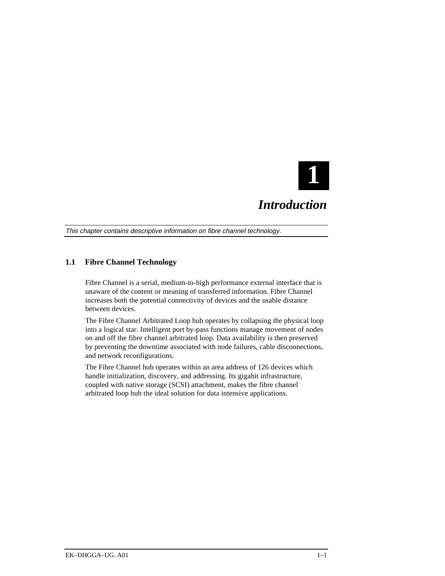

## *Introduction*

This chapter contains descriptive information on fibre channel technology.

## **1.1 Fibre Channel Technology**

Fibre Channel is a serial, medium-to-high performance external interface that is unaware of the content or meaning of transferred information. Fibre Channel increases both the potential connectivity of devices and the usable distance between devices.

The Fibre Channel Arbitrated Loop hub operates by collapsing the physical loop into a logical star. Intelligent port by-pass functions manage movement of nodes on and off the fibre channel arbitrated loop. Data availability is then preserved by preventing the downtime associated with node failures, cable disconnections, and network reconfigurations.

The Fibre Channel hub operates within an area address of 126 devices which handle initialization, discovery, and addressing. Its gigabit infrastructure, coupled with native storage (SCSI) attachment, makes the fibre channel arbitrated loop hub the ideal solution for data intensive applications.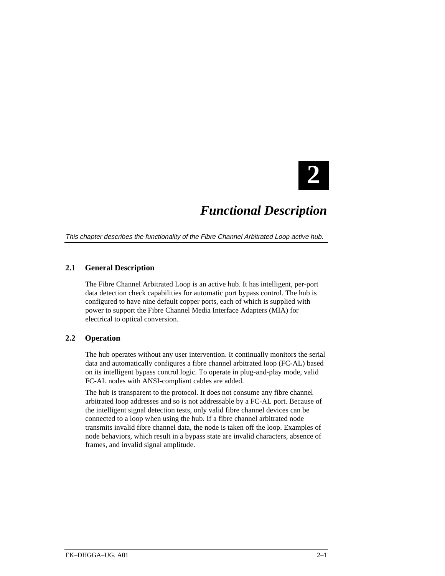

## *Functional Description*

This chapter describes the functionality of the Fibre Channel Arbitrated Loop active hub.

## **2.1 General Description**

The Fibre Channel Arbitrated Loop is an active hub. It has intelligent, per-port data detection check capabilities for automatic port bypass control. The hub is configured to have nine default copper ports, each of which is supplied with power to support the Fibre Channel Media Interface Adapters (MIA) for electrical to optical conversion.

## **2.2 Operation**

The hub operates without any user intervention. It continually monitors the serial data and automatically configures a fibre channel arbitrated loop (FC-AL) based on its intelligent bypass control logic. To operate in plug-and-play mode, valid FC-AL nodes with ANSI-compliant cables are added.

The hub is transparent to the protocol. It does not consume any fibre channel arbitrated loop addresses and so is not addressable by a FC-AL port. Because of the intelligent signal detection tests, only valid fibre channel devices can be connected to a loop when using the hub. If a fibre channel arbitrated node transmits invalid fibre channel data, the node is taken off the loop. Examples of node behaviors, which result in a bypass state are invalid characters, absence of frames, and invalid signal amplitude.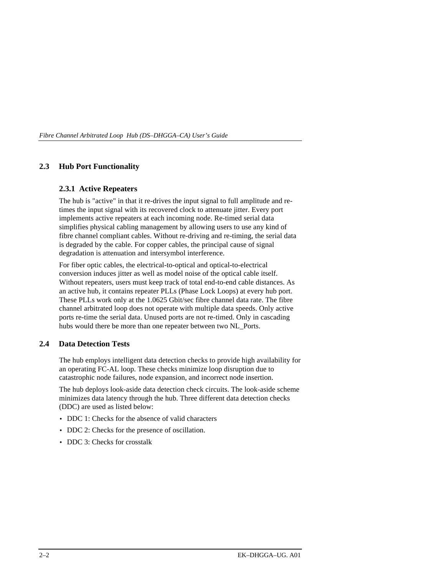#### **2.3 Hub Port Functionality**

#### **2.3.1 Active Repeaters**

The hub is "active" in that it re-drives the input signal to full amplitude and retimes the input signal with its recovered clock to attenuate jitter. Every port implements active repeaters at each incoming node. Re-timed serial data simplifies physical cabling management by allowing users to use any kind of fibre channel compliant cables. Without re-driving and re-timing, the serial data is degraded by the cable. For copper cables, the principal cause of signal degradation is attenuation and intersymbol interference.

For fiber optic cables, the electrical-to-optical and optical-to-electrical conversion induces jitter as well as model noise of the optical cable itself. Without repeaters, users must keep track of total end-to-end cable distances. As an active hub, it contains repeater PLLs (Phase Lock Loops) at every hub port. These PLLs work only at the 1.0625 Gbit/sec fibre channel data rate. The fibre channel arbitrated loop does not operate with multiple data speeds. Only active ports re-time the serial data. Unused ports are not re-timed. Only in cascading hubs would there be more than one repeater between two NL Ports.

#### **2.4 Data Detection Tests**

The hub employs intelligent data detection checks to provide high availability for an operating FC-AL loop. These checks minimize loop disruption due to catastrophic node failures, node expansion, and incorrect node insertion.

The hub deploys look-aside data detection check circuits. The look-aside scheme minimizes data latency through the hub. Three different data detection checks (DDC) are used as listed below:

- DDC 1: Checks for the absence of valid characters
- DDC 2: Checks for the presence of oscillation.
- DDC 3: Checks for crosstalk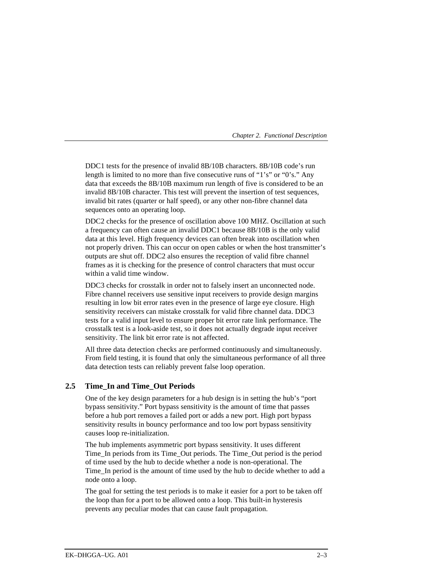#### *Chapter 2. Functional Description*

DDC1 tests for the presence of invalid 8B/10B characters. 8B/10B code's run length is limited to no more than five consecutive runs of "1's" or "0's." Any data that exceeds the 8B/10B maximum run length of five is considered to be an invalid 8B/10B character. This test will prevent the insertion of test sequences, invalid bit rates (quarter or half speed), or any other non-fibre channel data sequences onto an operating loop.

DDC2 checks for the presence of oscillation above 100 MHZ. Oscillation at such a frequency can often cause an invalid DDC1 because 8B/10B is the only valid data at this level. High frequency devices can often break into oscillation when not properly driven. This can occur on open cables or when the host transmitter's outputs are shut off. DDC2 also ensures the reception of valid fibre channel frames as it is checking for the presence of control characters that must occur within a valid time window.

DDC3 checks for crosstalk in order not to falsely insert an unconnected node. Fibre channel receivers use sensitive input receivers to provide design margins resulting in low bit error rates even in the presence of large eye closure. High sensitivity receivers can mistake crosstalk for valid fibre channel data. DDC3 tests for a valid input level to ensure proper bit error rate link performance. The crosstalk test is a look-aside test, so it does not actually degrade input receiver sensitivity. The link bit error rate is not affected.

All three data detection checks are performed continuously and simultaneously. From field testing, it is found that only the simultaneous performance of all three data detection tests can reliably prevent false loop operation.

#### **2.5 Time\_In and Time\_Out Periods**

One of the key design parameters for a hub design is in setting the hub's "port bypass sensitivity." Port bypass sensitivity is the amount of time that passes before a hub port removes a failed port or adds a new port. High port bypass sensitivity results in bouncy performance and too low port bypass sensitivity causes loop re-initialization.

The hub implements asymmetric port bypass sensitivity. It uses different Time\_In periods from its Time\_Out periods. The Time\_Out period is the period of time used by the hub to decide whether a node is non-operational. The Time\_In period is the amount of time used by the hub to decide whether to add a node onto a loop.

The goal for setting the test periods is to make it easier for a port to be taken off the loop than for a port to be allowed onto a loop. This built-in hysteresis prevents any peculiar modes that can cause fault propagation.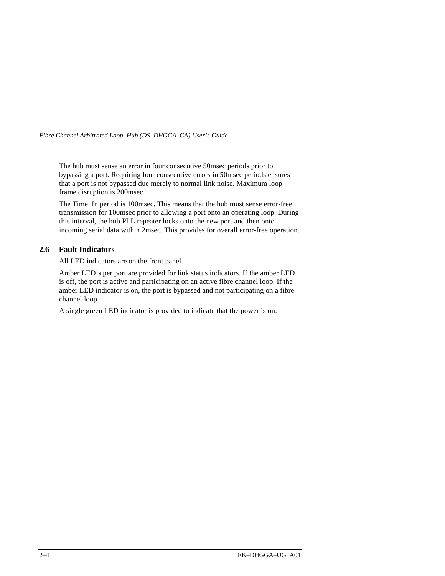The hub must sense an error in four consecutive 50msec periods prior to bypassing a port. Requiring four consecutive errors in 50msec periods ensures that a port is not bypassed due merely to normal link noise. Maximum loop frame disruption is 200msec.

The Time\_In period is 100msec. This means that the hub must sense error-free transmission for 100msec prior to allowing a port onto an operating loop. During this interval, the hub PLL repeater locks onto the new port and then onto incoming serial data within 2msec. This provides for overall error-free operation.

## **2.6 Fault Indicators**

All LED indicators are on the front panel.

Amber LED's per port are provided for link status indicators. If the amber LED is off, the port is active and participating on an active fibre channel loop. If the amber LED indicator is on, the port is bypassed and not participating on a fibre channel loop.

A single green LED indicator is provided to indicate that the power is on.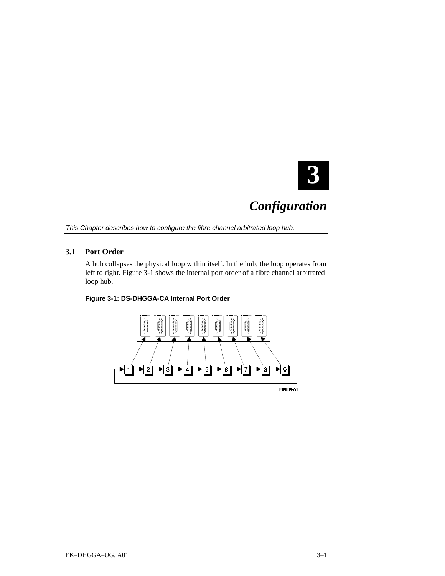

# *Configuration*

This Chapter describes how to configure the fibre channel arbitrated loop hub.

## **3.1 Port Order**

A hub collapses the physical loop within itself. In the hub, the loop operates from left to right. Figure 3-1 shows the internal port order of a fibre channel arbitrated loop hub.

#### **Figure 3-1: DS-DHGGA-CA Internal Port Order**

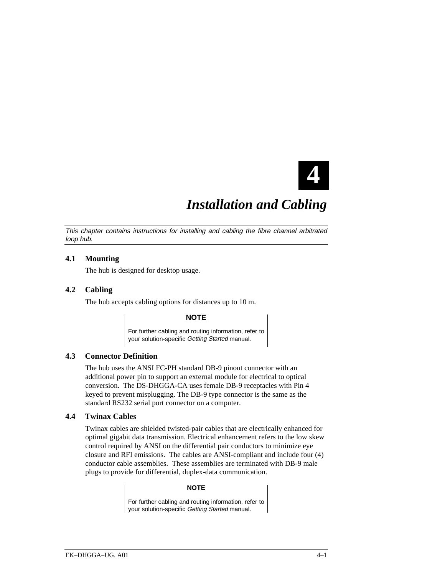

# *Installation and Cabling*

This chapter contains instructions for installing and cabling the fibre channel arbitrated loop hub.

#### **4.1 Mounting**

The hub is designed for desktop usage.

#### **4.2 Cabling**

The hub accepts cabling options for distances up to 10 m.

#### **NOTE**

For further cabling and routing information, refer to your solution-specific Getting Started manual.

#### **4.3 Connector Definition**

The hub uses the ANSI FC-PH standard DB-9 pinout connector with an additional power pin to support an external module for electrical to optical conversion. The DS-DHGGA-CA uses female DB-9 receptacles with Pin 4 keyed to prevent misplugging. The DB-9 type connector is the same as the standard RS232 serial port connector on a computer.

## **4.4 Twinax Cables**

Twinax cables are shielded twisted-pair cables that are electrically enhanced for optimal gigabit data transmission. Electrical enhancement refers to the low skew control required by ANSI on the differential pair conductors to minimize eye closure and RFI emissions. The cables are ANSI-compliant and include four (4) conductor cable assemblies. These assemblies are terminated with DB-9 male plugs to provide for differential, duplex-data communication.

#### **NOTE**

For further cabling and routing information, refer to your solution-specific Getting Started manual.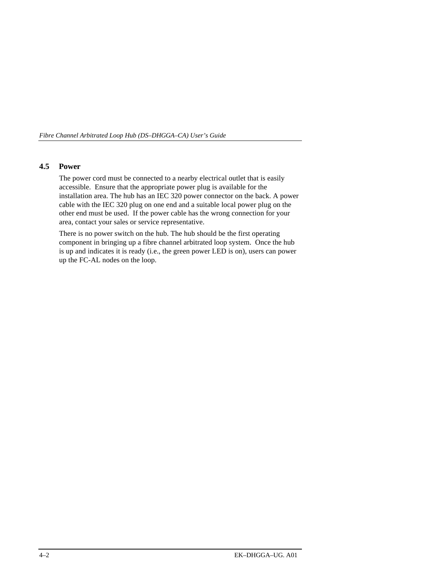### **4.5 Power**

The power cord must be connected to a nearby electrical outlet that is easily accessible. Ensure that the appropriate power plug is available for the installation area. The hub has an IEC 320 power connector on the back. A power cable with the IEC 320 plug on one end and a suitable local power plug on the other end must be used. If the power cable has the wrong connection for your area, contact your sales or service representative.

There is no power switch on the hub. The hub should be the first operating component in bringing up a fibre channel arbitrated loop system. Once the hub is up and indicates it is ready (i.e., the green power LED is on), users can power up the FC-AL nodes on the loop.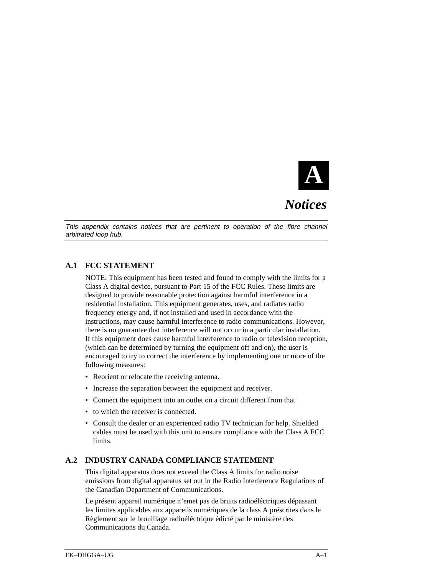

*Notices*

This appendix contains notices that are pertinent to operation of the fibre channel arbitrated loop hub.

## **A.1 FCC STATEMENT**

NOTE: This equipment has been tested and found to comply with the limits for a Class A digital device, pursuant to Part 15 of the FCC Rules. These limits are designed to provide reasonable protection against harmful interference in a residential installation. This equipment generates, uses, and radiates radio frequency energy and, if not installed and used in accordance with the instructions, may cause harmful interference to radio communications. However, there is no guarantee that interference will not occur in a particular installation. If this equipment does cause harmful interference to radio or television reception, (which can be determined by turning the equipment off and on), the user is encouraged to try to correct the interference by implementing one or more of the following measures:

- Reorient or relocate the receiving antenna.
- Increase the separation between the equipment and receiver.
- Connect the equipment into an outlet on a circuit different from that
- to which the receiver is connected.
- Consult the dealer or an experienced radio TV technician for help. Shielded cables must be used with this unit to ensure compliance with the Class A FCC limits.

## **A.2 INDUSTRY CANADA COMPLIANCE STATEMENT**

This digital apparatus does not exceed the Class A limits for radio noise emissions from digital apparatus set out in the Radio Interference Regulations of the Canadian Department of Communications.

Le présent appareil numérique n'emet pas de bruits radioéléctriques dépassant les limites applicables aux appareils numériques de la class A préscrites dans le Règlement sur le brouillage radioéléctrique édicté par le ministère des Communications du Canada.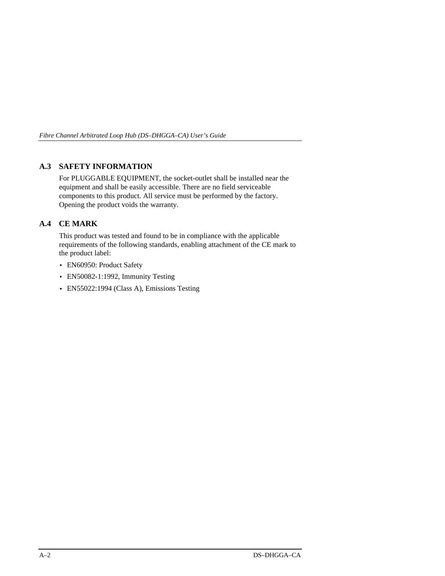## **A.3 SAFETY INFORMATION**

For PLUGGABLE EQUIPMENT, the socket-outlet shall be installed near the equipment and shall be easily accessible. There are no field serviceable components to this product. All service must be performed by the factory. Opening the product voids the warranty.

## **A.4 CE MARK**

This product was tested and found to be in compliance with the applicable requirements of the following standards, enabling attachment of the CE mark to the product label:

- EN60950: Product Safety
- EN50082-1:1992, Immunity Testing
- EN55022:1994 (Class A), Emissions Testing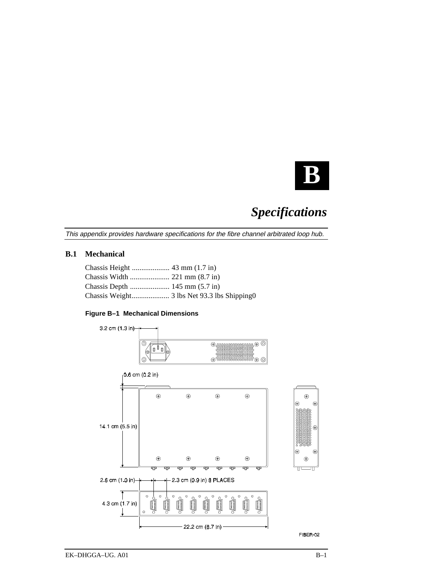

# *Specifications*

This appendix provides hardware specifications for the fibre channel arbitrated loop hub.

### **B.1 Mechanical**

### **Figure B–1 Mechanical Dimensions**

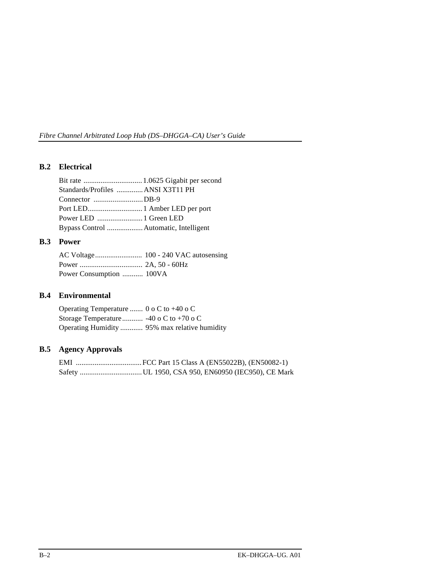## **B.2 Electrical**

| Standards/Profiles  ANSI X3T11 PH      |  |
|----------------------------------------|--|
| Connector DB-9                         |  |
|                                        |  |
|                                        |  |
| Bypass Control  Automatic, Intelligent |  |

## **B.3 Power**

| Power Consumption  100VA |  |
|--------------------------|--|

## **B.4 Environmental**

Operating Temperature ....... 0 o C to +40 o C Storage Temperature........... -40 o C to +70 o C Operating Humidity ............ 95% max relative humidity

## **B.5 Agency Approvals**